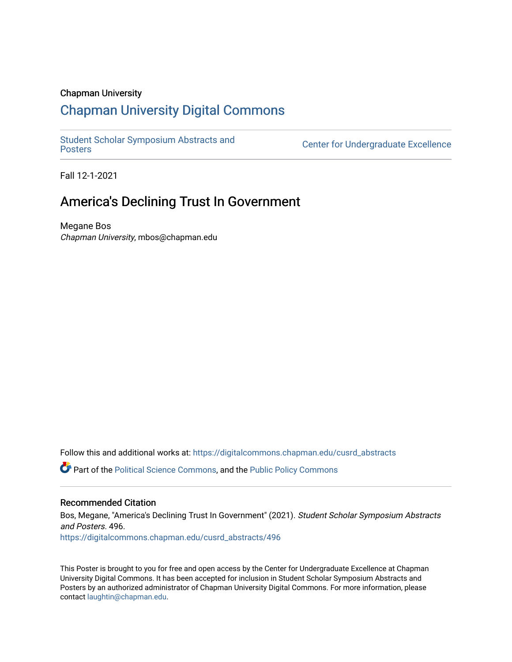#### Chapman University

#### [Chapman University Digital Commons](https://digitalcommons.chapman.edu/)

[Student Scholar Symposium Abstracts and](https://digitalcommons.chapman.edu/cusrd_abstracts) 

Center for Undergraduate Excellence

Fall 12-1-2021

#### America's Declining Trust In Government

Megane Bos Chapman University, mbos@chapman.edu

Follow this and additional works at: [https://digitalcommons.chapman.edu/cusrd\\_abstracts](https://digitalcommons.chapman.edu/cusrd_abstracts?utm_source=digitalcommons.chapman.edu%2Fcusrd_abstracts%2F496&utm_medium=PDF&utm_campaign=PDFCoverPages) 

Part of the [Political Science Commons,](http://network.bepress.com/hgg/discipline/386?utm_source=digitalcommons.chapman.edu%2Fcusrd_abstracts%2F496&utm_medium=PDF&utm_campaign=PDFCoverPages) and the [Public Policy Commons](http://network.bepress.com/hgg/discipline/400?utm_source=digitalcommons.chapman.edu%2Fcusrd_abstracts%2F496&utm_medium=PDF&utm_campaign=PDFCoverPages)

#### Recommended Citation

Bos, Megane, "America's Declining Trust In Government" (2021). Student Scholar Symposium Abstracts and Posters. 496. [https://digitalcommons.chapman.edu/cusrd\\_abstracts/496](https://digitalcommons.chapman.edu/cusrd_abstracts/496?utm_source=digitalcommons.chapman.edu%2Fcusrd_abstracts%2F496&utm_medium=PDF&utm_campaign=PDFCoverPages) 

This Poster is brought to you for free and open access by the Center for Undergraduate Excellence at Chapman University Digital Commons. It has been accepted for inclusion in Student Scholar Symposium Abstracts and Posters by an authorized administrator of Chapman University Digital Commons. For more information, please contact [laughtin@chapman.edu](mailto:laughtin@chapman.edu).